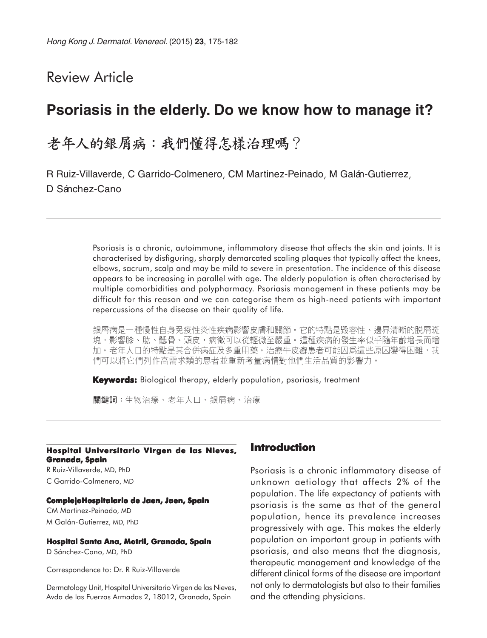# Review Article

# **Psoriasis in the elderly. Do we know how to manage it?**

# 老年人的銀屑病:我們懂得怎樣治理嗎?

R Ruiz-Villaverde, C Garrido-Colmenero, CM Martinez-Peinado, M Galán-Gutierrez, D Sánchez-Cano

> Psoriasis is a chronic, autoimmune, inflammatory disease that affects the skin and joints. It is characterised by disfiguring, sharply demarcated scaling plaques that typically affect the knees, elbows, sacrum, scalp and may be mild to severe in presentation. The incidence of this disease appears to be increasing in parallel with age. The elderly population is often characterised by multiple comorbidities and polypharmacy. Psoriasis management in these patients may be difficult for this reason and we can categorise them as high-need patients with important repercussions of the disease on their quality of life.

> 銀屑病是一種慢性自身免疫性炎性疾病影響皮膚和關節。它的特點是毀容性、邊界清晰的脱屑斑 塊,影響膝、肱、骶骨、頭皮,病徵可以從輕微至嚴重。這種疾病的發生率似乎隨年齡增長而增 加。老年人口的特點是其合併病症及多重用藥。治療牛皮癬患者可能因爲這些原因變得困難,我 們可以將它們列作高需求類的患者並重新考量病情對他們生活品質的影響力。

**Keywords:** Biological therapy, elderly population, psoriasis, treatment

關鍵詞:生物治療、老年人口、銀屑病、治療

#### **Hospital Universitario Virgen de las Nieves, Granada, Spain**

R Ruiz-Villaverde, MD, PhD C Garrido-Colmenero, MD

#### **ComplejoHospitalario de Jaen, Jaen, Spain**

CM Martinez-Peinado, MD M Galán-Gutierrez, MD, PhD

#### **Hospital Santa Ana, Motril, Granada, Spain**

D Sánchez-Cano, MD, PhD

Correspondence to: Dr. R Ruiz-Villaverde

Dermatology Unit, Hospital Universitario Virgen de las Nieves, Avda de las Fuerzas Armadas 2, 18012, Granada, Spain

### **Introduction**

Psoriasis is a chronic inflammatory disease of unknown aetiology that affects 2% of the population. The life expectancy of patients with psoriasis is the same as that of the general population, hence its prevalence increases progressively with age. This makes the elderly population an important group in patients with psoriasis, and also means that the diagnosis, therapeutic management and knowledge of the different clinical forms of the disease are important not only to dermatologists but also to their families and the attending physicians.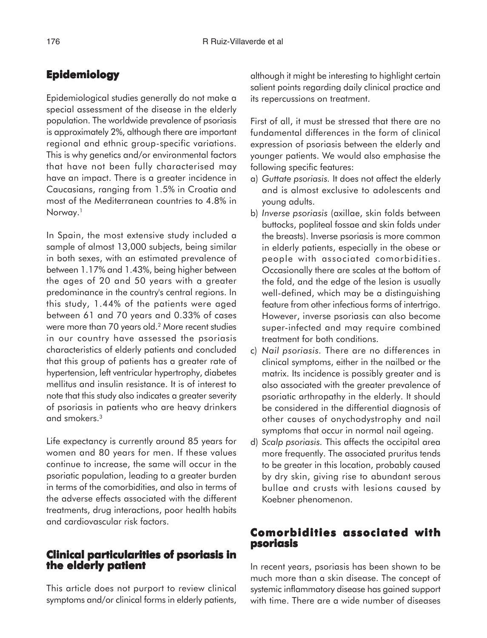# **Epidemiology**

Epidemiological studies generally do not make a special assessment of the disease in the elderly population. The worldwide prevalence of psoriasis is approximately 2%, although there are important regional and ethnic group-specific variations. This is why genetics and/or environmental factors that have not been fully characterised may have an impact. There is a greater incidence in Caucasians, ranging from 1.5% in Croatia and most of the Mediterranean countries to 4.8% in Norway.<sup>1</sup>

In Spain, the most extensive study included a sample of almost 13,000 subjects, being similar in both sexes, with an estimated prevalence of between 1.17% and 1.43%, being higher between the ages of 20 and 50 years with a greater predominance in the country's central regions. In this study, 1.44% of the patients were aged between 61 and 70 years and 0.33% of cases were more than 70 years old.2 More recent studies in our country have assessed the psoriasis characteristics of elderly patients and concluded that this group of patients has a greater rate of hypertension, left ventricular hypertrophy, diabetes mellitus and insulin resistance. It is of interest to note that this study also indicates a greater severity of psoriasis in patients who are heavy drinkers and smokers.3

Life expectancy is currently around 85 years for women and 80 years for men. If these values continue to increase, the same will occur in the psoriatic population, leading to a greater burden in terms of the comorbidities, and also in terms of the adverse effects associated with the different treatments, drug interactions, poor health habits and cardiovascular risk factors.

## **Clinical particularities of psoriasis in the elderly patient**

This article does not purport to review clinical symptoms and/or clinical forms in elderly patients, although it might be interesting to highlight certain salient points regarding daily clinical practice and its repercussions on treatment.

First of all, it must be stressed that there are no fundamental differences in the form of clinical expression of psoriasis between the elderly and younger patients. We would also emphasise the following specific features:

- a) *Guttate psoriasis.* It does not affect the elderly and is almost exclusive to adolescents and young adults.
- b) *Inverse psoriasis* (axillae, skin folds between buttocks, popliteal fossae and skin folds under the breasts). Inverse psoriasis is more common in elderly patients, especially in the obese or people with associated comorbidities. Occasionally there are scales at the bottom of the fold, and the edge of the lesion is usually well-defined, which may be a distinguishing feature from other infectious forms of intertrigo. However, inverse psoriasis can also become super-infected and may require combined treatment for both conditions.
- c) *Nail psoriasis.* There are no differences in clinical symptoms, either in the nailbed or the matrix. Its incidence is possibly greater and is also associated with the greater prevalence of psoriatic arthropathy in the elderly. It should be considered in the differential diagnosis of other causes of onychodystrophy and nail symptoms that occur in normal nail ageing.
- d) *Scalp psoriasis.* This affects the occipital area more frequently. The associated pruritus tends to be greater in this location, probably caused by dry skin, giving rise to abundant serous bullae and crusts with lesions caused by Koebner phenomenon.

## **Comorbidities associated with psoriasis**

In recent years, psoriasis has been shown to be much more than a skin disease. The concept of systemic inflammatory disease has gained support with time. There are a wide number of diseases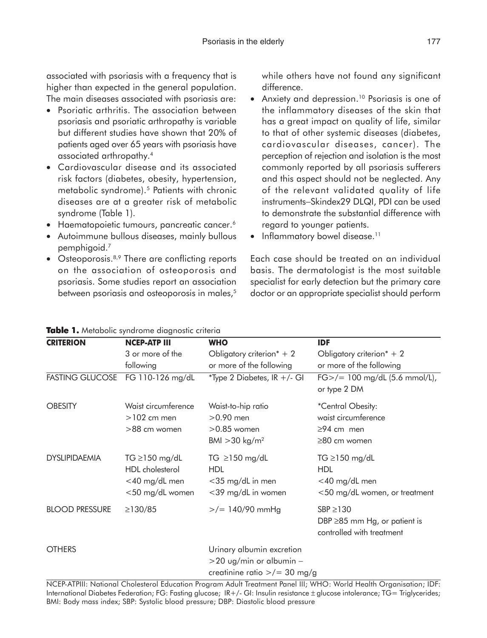associated with psoriasis with a frequency that is higher than expected in the general population. The main diseases associated with psoriasis are:

- Psoriatic arthritis. The association between psoriasis and psoriatic arthropathy is variable but different studies have shown that 20% of patients aged over 65 years with psoriasis have associated arthropathy.4
- Cardiovascular disease and its associated risk factors (diabetes, obesity, hypertension, metabolic syndrome).<sup>5</sup> Patients with chronic diseases are at a greater risk of metabolic syndrome (Table 1).
- Haematopoietic tumours, pancreatic cancer.<sup>6</sup>
- Autoimmune bullous diseases, mainly bullous pemphigoid.7
- Osteoporosis.<sup>8,9</sup> There are conflicting reports on the association of osteoporosis and psoriasis. Some studies report an association between psoriasis and osteoporosis in males,<sup>5</sup>

while others have not found any significant difference.

- Anxiety and depression.10 Psoriasis is one of the inflammatory diseases of the skin that has a great impact on quality of life, similar to that of other systemic diseases (diabetes, cardiovascular diseases, cancer). The perception of rejection and isolation is the most commonly reported by all psoriasis sufferers and this aspect should not be neglected. Any of the relevant validated quality of life instruments−Skindex29 DLQI, PDI can be used to demonstrate the substantial difference with regard to younger patients.
- Inflammatory bowel disease.<sup>11</sup>

Each case should be treated on an individual basis. The dermatologist is the most suitable specialist for early detection but the primary care doctor or an appropriate specialist should perform

| <b>CRITERION</b>       | <b>NCEP-ATP III</b>                                                        | <b>WHO</b>                                                                                       | <b>IDF</b>                                                                          |
|------------------------|----------------------------------------------------------------------------|--------------------------------------------------------------------------------------------------|-------------------------------------------------------------------------------------|
|                        | 3 or more of the                                                           | Obligatory criterion $* + 2$                                                                     | Obligatory criterion $* + 2$                                                        |
|                        | following                                                                  | or more of the following                                                                         | or more of the following                                                            |
| <b>FASTING GLUCOSE</b> | FG 110-126 mg/dL                                                           | *Type 2 Diabetes, IR +/- GI                                                                      | $FG$ >/= 100 mg/dL (5.6 mmol/L),<br>or type 2 DM                                    |
| <b>OBESITY</b>         | Waist circumference<br>$>102$ cm men<br>>88 cm women                       | Waist-to-hip ratio<br>$>0.90$ men<br>$>0.85$ women<br>BMI $>$ 30 kg/m <sup>2</sup>               | *Central Obesity:<br>waist circumference<br>$\geq$ 94 cm men<br>≥80 cm women        |
| <b>DYSLIPIDAEMIA</b>   | TG $\geq$ 150 mg/dL<br>HDL cholesterol<br><40 mg/dL men<br><50 mg/dL women | TG $\geq$ 150 mg/dL<br><b>HDL</b><br><35 mg/dL in men<br><39 mg/dL in women                      | TG $\geq$ 150 mg/dL<br><b>HDL</b><br><40 mg/dL men<br><50 mg/dL women, or treatment |
| <b>BLOOD PRESSURE</b>  | $\geq$ 130/85                                                              | $>$ /= 140/90 mmHg                                                                               | $SBP \geq 130$<br>DBP $\geq$ 85 mm Hg, or patient is<br>controlled with treatment   |
| <b>OTHERS</b>          |                                                                            | Urinary albumin excretion<br>>20 ug/min or albumin –<br>creatinine ratio $\frac{p}{q} = 30$ mg/g |                                                                                     |

**Table 1. able**  Metabolic syndrome diagnostic criteria

NCEP-ATPIII: National Cholesterol Education Program Adult Treatment Panel III; WHO: World Health Organisation; IDF: International Diabetes Federation; FG: Fasting glucose; IR+/- GI: Insulin resistance ± glucose intolerance; TG= Triglycerides; BMI: Body mass index; SBP: Systolic blood pressure; DBP: Diastolic blood pressure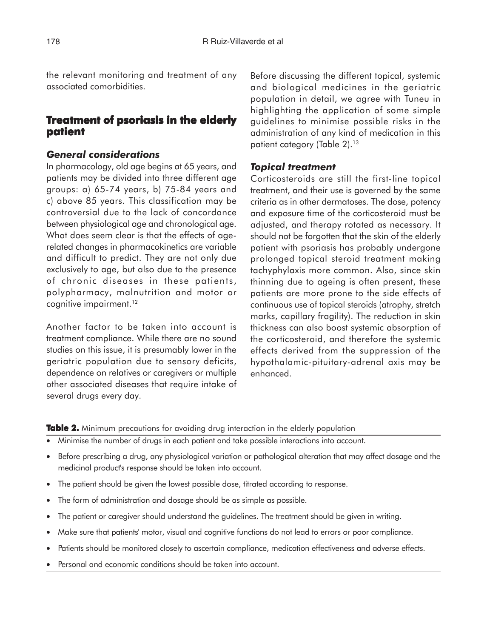the relevant monitoring and treatment of any associated comorbidities.

## **Treatment of psoriasis in the elderly patient patient**

### *General considerations*

In pharmacology, old age begins at 65 years, and patients may be divided into three different age groups: a) 65-74 years, b) 75-84 years and c) above 85 years. This classification may be controversial due to the lack of concordance between physiological age and chronological age. What does seem clear is that the effects of agerelated changes in pharmacokinetics are variable and difficult to predict. They are not only due exclusively to age, but also due to the presence of chronic diseases in these patients, polypharmacy, malnutrition and motor or cognitive impairment.<sup>12</sup>

Another factor to be taken into account is treatment compliance. While there are no sound studies on this issue, it is presumably lower in the geriatric population due to sensory deficits, dependence on relatives or caregivers or multiple other associated diseases that require intake of several drugs every day.

Before discussing the different topical, systemic and biological medicines in the geriatric population in detail, we agree with Tuneu in highlighting the application of some simple guidelines to minimise possible risks in the administration of any kind of medication in this patient category (Table 2).<sup>13</sup>

#### *Topical treatment*

Corticosteroids are still the first-line topical treatment, and their use is governed by the same criteria as in other dermatoses. The dose, potency and exposure time of the corticosteroid must be adjusted, and therapy rotated as necessary. It should not be forgotten that the skin of the elderly patient with psoriasis has probably undergone prolonged topical steroid treatment making tachyphylaxis more common. Also, since skin thinning due to ageing is often present, these patients are more prone to the side effects of continuous use of topical steroids (atrophy, stretch marks, capillary fragility). The reduction in skin thickness can also boost systemic absorption of the corticosteroid, and therefore the systemic effects derived from the suppression of the hypothalamic-pituitary-adrenal axis may be enhanced.

**Table 2.** Minimum precautions for avoiding drug interaction in the elderly population

- Minimise the number of drugs in each patient and take possible interactions into account.
- Before prescribing a drug, any physiological variation or pathological alteration that may affect dosage and the medicinal product's response should be taken into account.
- The patient should be given the lowest possible dose, titrated according to response.
- The form of administration and dosage should be as simple as possible.
- The patient or caregiver should understand the guidelines. The treatment should be given in writing.
- Make sure that patients' motor, visual and cognitive functions do not lead to errors or poor compliance.
- Patients should be monitored closely to ascertain compliance, medication effectiveness and adverse effects.
- Personal and economic conditions should be taken into account.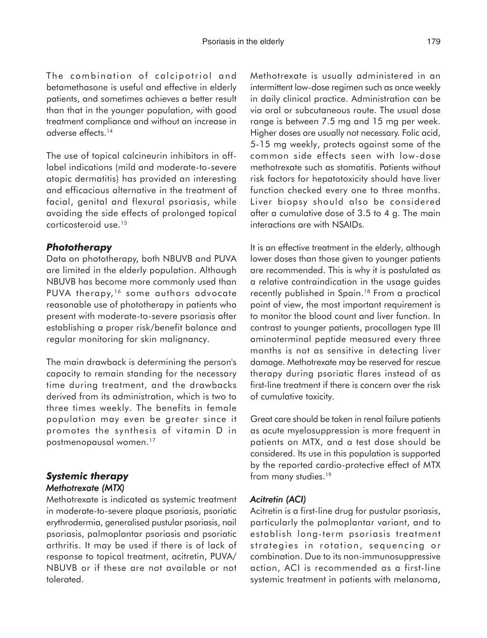The combination of calcipotriol and betamethasone is useful and effective in elderly patients, and sometimes achieves a better result than that in the younger population, with good treatment compliance and without an increase in adverse effects.14

The use of topical calcineurin inhibitors in offlabel indications (mild and moderate-to-severe atopic dermatitis) has provided an interesting and efficacious alternative in the treatment of facial, genital and flexural psoriasis, while avoiding the side effects of prolonged topical corticosteroid use.15

### *Phototherapy*

Data on phototherapy, both NBUVB and PUVA are limited in the elderly population. Although NBUVB has become more commonly used than PUVA therapy,<sup>16</sup> some authors advocate reasonable use of phototherapy in patients who present with moderate-to-severe psoriasis after establishing a proper risk/benefit balance and regular monitoring for skin malignancy.

The main drawback is determining the person's capacity to remain standing for the necessary time during treatment, and the drawbacks derived from its administration, which is two to three times weekly. The benefits in female population may even be greater since it promotes the synthesis of vitamin D in postmenopausal women.17

## *Systemic therapy Methotrexate (MTX) (MTX)*

Methotrexate is indicated as systemic treatment in moderate-to-severe plaque psoriasis, psoriatic erythrodermia, generalised pustular psoriasis, nail psoriasis, palmoplantar psoriasis and psoriatic arthritis. It may be used if there is of lack of response to topical treatment, acitretin, PUVA/ NBUVB or if these are not available or not tolerated.

Methotrexate is usually administered in an intermittent low-dose regimen such as once weekly in daily clinical practice. Administration can be via oral or subcutaneous route. The usual dose range is between 7.5 mg and 15 mg per week. Higher doses are usually not necessary. Folic acid, 5-15 mg weekly, protects against some of the common side effects seen with low-dose methotrexate such as stomatitis. Patients without risk factors for hepatotoxicity should have liver function checked every one to three months. Liver biopsy should also be considered after a cumulative dose of 3.5 to 4 g. The main interactions are with NSAIDs.

It is an effective treatment in the elderly, although lower doses than those given to younger patients are recommended. This is why it is postulated as a relative contraindication in the usage guides recently published in Spain.<sup>18</sup> From a practical point of view, the most important requirement is to monitor the blood count and liver function. In contrast to younger patients, procollagen type III aminoterminal peptide measured every three months is not as sensitive in detecting liver damage. Methotrexate may be reserved for rescue therapy during psoriatic flares instead of as first-line treatment if there is concern over the risk of cumulative toxicity.

Great care should be taken in renal failure patients as acute myelosuppression is more frequent in patients on MTX, and a test dose should be considered. Its use in this population is supported by the reported cardio-protective effect of MTX from many studies.<sup>19</sup>

### *Acitretin (ACI) citretin (ACI)*

Acitretin is a first-line drug for pustular psoriasis, particularly the palmoplantar variant, and to establish long-term psoriasis treatment strategies in rotation, sequencing or combination. Due to its non-immunosuppressive action, ACI is recommended as a first-line systemic treatment in patients with melanoma,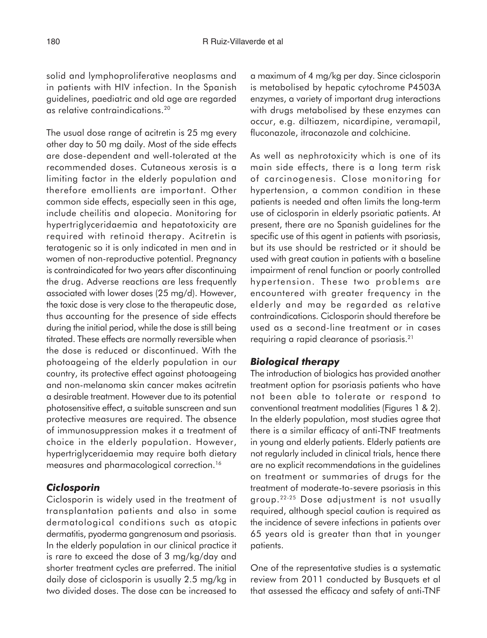solid and lymphoproliferative neoplasms and in patients with HIV infection. In the Spanish guidelines, paediatric and old age are regarded as relative contraindications.20

The usual dose range of acitretin is 25 mg every other day to 50 mg daily. Most of the side effects are dose-dependent and well-tolerated at the recommended doses. Cutaneous xerosis is a limiting factor in the elderly population and therefore emollients are important. Other common side effects, especially seen in this age, include cheilitis and alopecia. Monitoring for hypertriglyceridaemia and hepatotoxicity are required with retinoid therapy. Acitretin is teratogenic so it is only indicated in men and in women of non-reproductive potential. Pregnancy is contraindicated for two years after discontinuing the drug. Adverse reactions are less frequently associated with lower doses (25 mg/d). However, the toxic dose is very close to the therapeutic dose, thus accounting for the presence of side effects during the initial period, while the dose is still being titrated. These effects are normally reversible when the dose is reduced or discontinued. With the photoageing of the elderly population in our country, its protective effect against photoageing and non-melanoma skin cancer makes acitretin a desirable treatment. However due to its potential photosensitive effect, a suitable sunscreen and sun protective measures are required. The absence of immunosuppression makes it a treatment of choice in the elderly population. However, hypertriglyceridaemia may require both dietary measures and pharmacological correction.16

#### *Ciclosporin*

Ciclosporin is widely used in the treatment of transplantation patients and also in some dermatological conditions such as atopic dermatitis, pyoderma gangrenosum and psoriasis. In the elderly population in our clinical practice it is rare to exceed the dose of 3 mg/kg/day and shorter treatment cycles are preferred. The initial daily dose of ciclosporin is usually 2.5 mg/kg in two divided doses. The dose can be increased to

a maximum of 4 mg/kg per day. Since ciclosporin is metabolised by hepatic cytochrome P4503A enzymes, a variety of important drug interactions with drugs metabolised by these enzymes can occur, e.g. diltiazem, nicardipine, veramapil, fluconazole, itraconazole and colchicine.

As well as nephrotoxicity which is one of its main side effects, there is a long term risk of carcinogenesis. Close monitoring for hypertension, a common condition in these patients is needed and often limits the long-term use of ciclosporin in elderly psoriatic patients. At present, there are no Spanish guidelines for the specific use of this agent in patients with psoriasis, but its use should be restricted or it should be used with great caution in patients with a baseline impairment of renal function or poorly controlled hypertension. These two problems are encountered with greater frequency in the elderly and may be regarded as relative contraindications. Ciclosporin should therefore be used as a second-line treatment or in cases requiring a rapid clearance of psoriasis.21

#### *Biological therapy*

The introduction of biologics has provided another treatment option for psoriasis patients who have not been able to tolerate or respond to conventional treatment modalities (Figures 1 & 2). In the elderly population, most studies agree that there is a similar efficacy of anti-TNF treatments in young and elderly patients. Elderly patients are not regularly included in clinical trials, hence there are no explicit recommendations in the guidelines on treatment or summaries of drugs for the treatment of moderate-to-severe psoriasis in this group.22-25 Dose adjustment is not usually required, although special caution is required as the incidence of severe infections in patients over 65 years old is greater than that in younger patients.

One of the representative studies is a systematic review from 2011 conducted by Busquets et al that assessed the efficacy and safety of anti-TNF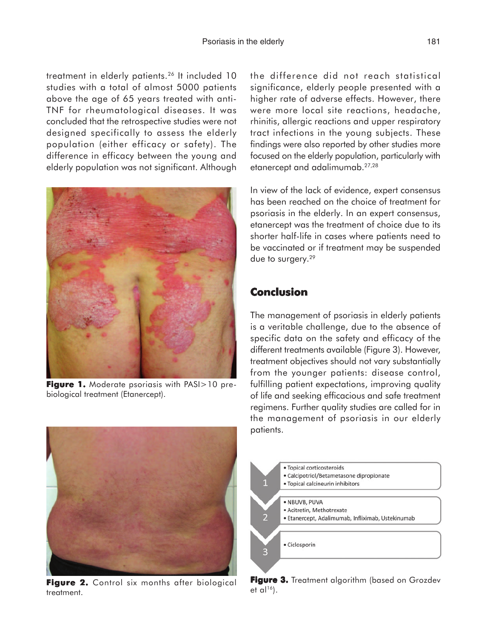treatment in elderly patients.26 It included 10 studies with a total of almost 5000 patients above the age of 65 years treated with anti-TNF for rheumatological diseases. It was concluded that the retrospective studies were not designed specifically to assess the elderly population (either efficacy or safety). The difference in efficacy between the young and elderly population was not significant. Although



**Figure 1.** Moderate psoriasis with PASI>10 prebiological treatment (Etanercept).

the difference did not reach statistical significance, elderly people presented with a higher rate of adverse effects. However, there were more local site reactions, headache, rhinitis, allergic reactions and upper respiratory tract infections in the young subjects. These findings were also reported by other studies more focused on the elderly population, particularly with etanercept and adalimumab.27,28

In view of the lack of evidence, expert consensus has been reached on the choice of treatment for psoriasis in the elderly. In an expert consensus, etanercept was the treatment of choice due to its shorter half-life in cases where patients need to be vaccinated or if treatment may be suspended due to surgery.29

# **Conclusion**

The management of psoriasis in elderly patients is a veritable challenge, due to the absence of specific data on the safety and efficacy of the different treatments available (Figure 3). However, treatment objectives should not vary substantially from the younger patients: disease control, fulfilling patient expectations, improving quality of life and seeking efficacious and safe treatment regimens. Further quality studies are called for in the management of psoriasis in our elderly patients.



Figure 2. Control six months after biological treatment.